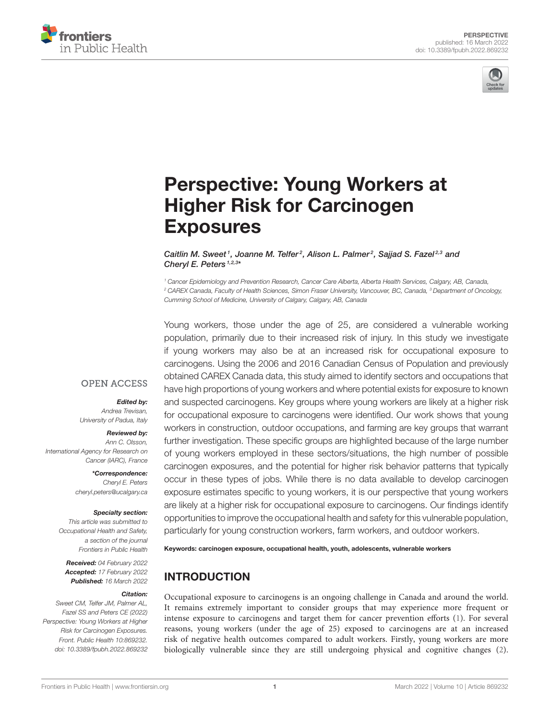



# [Perspective: Young Workers at](https://www.frontiersin.org/articles/10.3389/fpubh.2022.869232/full) Higher Risk for Carcinogen **Exposures**

Caitlin M. Sweet<sup>1</sup>, Joanne M. Telfer<sup>2</sup>, Alison L. Palmer<sup>2</sup>, Sajjad S. Fazel<sup>2,3</sup> and Cheryl E. Peters<sup>1,2,3\*</sup>

*<sup>1</sup> Cancer Epidemiology and Prevention Research, Cancer Care Alberta, Alberta Health Services, Calgary, AB, Canada, <sup>2</sup> CAREX Canada, Faculty of Health Sciences, Simon Fraser University, Vancouver, BC, Canada, <sup>3</sup> Department of Oncology, Cumming School of Medicine, University of Calgary, Calgary, AB, Canada*

Young workers, those under the age of 25, are considered a vulnerable working population, primarily due to their increased risk of injury. In this study we investigate if young workers may also be at an increased risk for occupational exposure to carcinogens. Using the 2006 and 2016 Canadian Census of Population and previously obtained CAREX Canada data, this study aimed to identify sectors and occupations that have high proportions of young workers and where potential exists for exposure to known and suspected carcinogens. Key groups where young workers are likely at a higher risk for occupational exposure to carcinogens were identified. Our work shows that young workers in construction, outdoor occupations, and farming are key groups that warrant further investigation. These specific groups are highlighted because of the large number of young workers employed in these sectors/situations, the high number of possible carcinogen exposures, and the potential for higher risk behavior patterns that typically occur in these types of jobs. While there is no data available to develop carcinogen exposure estimates specific to young workers, it is our perspective that young workers are likely at a higher risk for occupational exposure to carcinogens. Our findings identify opportunities to improve the occupational health and safety for this vulnerable population, particularly for young construction workers, farm workers, and outdoor workers.

Keywords: carcinogen exposure, occupational health, youth, adolescents, vulnerable workers

### INTRODUCTION

Occupational exposure to carcinogens is an ongoing challenge in Canada and around the world. It remains extremely important to consider groups that may experience more frequent or intense exposure to carcinogens and target them for cancer prevention efforts [\(1\)](#page-5-0). For several reasons, young workers (under the age of 25) exposed to carcinogens are at an increased risk of negative health outcomes compared to adult workers. Firstly, young workers are more biologically vulnerable since they are still undergoing physical and cognitive changes [\(2\)](#page-5-1).

### **OPEN ACCESS**

### Edited by:

*Andrea Trevisan, University of Padua, Italy*

#### Reviewed by:

*Ann C. Olsson, International Agency for Research on Cancer (IARC), France*

> \*Correspondence: *Cheryl E. Peters [cheryl.peters@ucalgary.ca](mailto:cheryl.peters@ucalgary.ca)*

#### Specialty section:

*This article was submitted to Occupational Health and Safety, a section of the journal Frontiers in Public Health*

Received: *04 February 2022* Accepted: *17 February 2022* Published: *16 March 2022*

#### Citation:

*Sweet CM, Telfer JM, Palmer AL, Fazel SS and Peters CE (2022) Perspective: Young Workers at Higher Risk for Carcinogen Exposures. Front. Public Health 10:869232. doi: [10.3389/fpubh.2022.869232](https://doi.org/10.3389/fpubh.2022.869232)*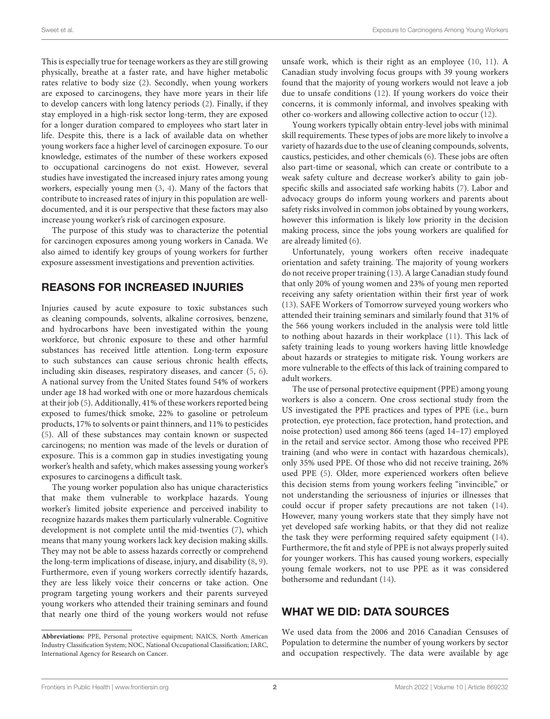This is especially true for teenage workers as they are still growing physically, breathe at a faster rate, and have higher metabolic rates relative to body size [\(2\)](#page-5-1). Secondly, when young workers are exposed to carcinogens, they have more years in their life to develop cancers with long latency periods [\(2\)](#page-5-1). Finally, if they stay employed in a high-risk sector long-term, they are exposed for a longer duration compared to employees who start later in life. Despite this, there is a lack of available data on whether young workers face a higher level of carcinogen exposure. To our knowledge, estimates of the number of these workers exposed to occupational carcinogens do not exist. However, several studies have investigated the increased injury rates among young workers, especially young men [\(3,](#page-5-2) [4\)](#page-5-3). Many of the factors that contribute to increased rates of injury in this population are welldocumented, and it is our perspective that these factors may also increase young worker's risk of carcinogen exposure.

The purpose of this study was to characterize the potential for carcinogen exposures among young workers in Canada. We also aimed to identify key groups of young workers for further exposure assessment investigations and prevention activities.

### REASONS FOR INCREASED INJURIES

Injuries caused by acute exposure to toxic substances such as cleaning compounds, solvents, alkaline corrosives, benzene, and hydrocarbons have been investigated within the young workforce, but chronic exposure to these and other harmful substances has received little attention. Long-term exposure to such substances can cause serious chronic health effects, including skin diseases, respiratory diseases, and cancer [\(5,](#page-5-4) [6\)](#page-5-5). A national survey from the United States found 54% of workers under age 18 had worked with one or more hazardous chemicals at their job [\(5\)](#page-5-4). Additionally, 41% of these workers reported being exposed to fumes/thick smoke, 22% to gasoline or petroleum products, 17% to solvents or paint thinners, and 11% to pesticides [\(5\)](#page-5-4). All of these substances may contain known or suspected carcinogens; no mention was made of the levels or duration of exposure. This is a common gap in studies investigating young worker's health and safety, which makes assessing young worker's exposures to carcinogens a difficult task.

The young worker population also has unique characteristics that make them vulnerable to workplace hazards. Young worker's limited jobsite experience and perceived inability to recognize hazards makes them particularly vulnerable. Cognitive development is not complete until the mid-twenties [\(7\)](#page-5-6), which means that many young workers lack key decision making skills. They may not be able to assess hazards correctly or comprehend the long-term implications of disease, injury, and disability [\(8,](#page-5-7) [9\)](#page-5-8). Furthermore, even if young workers correctly identify hazards, they are less likely voice their concerns or take action. One program targeting young workers and their parents surveyed young workers who attended their training seminars and found that nearly one third of the young workers would not refuse unsafe work, which is their right as an employee [\(10,](#page-5-9) [11\)](#page-5-10). A Canadian study involving focus groups with 39 young workers found that the majority of young workers would not leave a job due to unsafe conditions [\(12\)](#page-5-11). If young workers do voice their concerns, it is commonly informal, and involves speaking with other co-workers and allowing collective action to occur [\(12\)](#page-5-11).

Young workers typically obtain entry-level jobs with minimal skill requirements. These types of jobs are more likely to involve a variety of hazards due to the use of cleaning compounds, solvents, caustics, pesticides, and other chemicals [\(6\)](#page-5-5). These jobs are often also part-time or seasonal, which can create or contribute to a weak safety culture and decrease worker's ability to gain jobspecific skills and associated safe working habits [\(7\)](#page-5-6). Labor and advocacy groups do inform young workers and parents about safety risks involved in common jobs obtained by young workers, however this information is likely low priority in the decision making process, since the jobs young workers are qualified for are already limited [\(6\)](#page-5-5).

Unfortunately, young workers often receive inadequate orientation and safety training. The majority of young workers do not receive proper training [\(13\)](#page-5-12). A large Canadian study found that only 20% of young women and 23% of young men reported receiving any safety orientation within their first year of work [\(13\)](#page-5-12). SAFE Workers of Tomorrow surveyed young workers who attended their training seminars and similarly found that 31% of the 566 young workers included in the analysis were told little to nothing about hazards in their workplace [\(11\)](#page-5-10). This lack of safety training leads to young workers having little knowledge about hazards or strategies to mitigate risk. Young workers are more vulnerable to the effects of this lack of training compared to adult workers.

The use of personal protective equipment (PPE) among young workers is also a concern. One cross sectional study from the US investigated the PPE practices and types of PPE (i.e., burn protection, eye protection, face protection, hand protection, and noise protection) used among 866 teens (aged 14–17) employed in the retail and service sector. Among those who received PPE training (and who were in contact with hazardous chemicals), only 35% used PPE. Of those who did not receive training, 26% used PPE [\(5\)](#page-5-4). Older, more experienced workers often believe this decision stems from young workers feeling "invincible," or not understanding the seriousness of injuries or illnesses that could occur if proper safety precautions are not taken [\(14\)](#page-5-13). However, many young workers state that they simply have not yet developed safe working habits, or that they did not realize the task they were performing required safety equipment [\(14\)](#page-5-13). Furthermore, the fit and style of PPE is not always properly suited for younger workers. This has caused young workers, especially young female workers, not to use PPE as it was considered bothersome and redundant [\(14\)](#page-5-13).

### WHAT WE DID: DATA SOURCES

We used data from the 2006 and 2016 Canadian Censuses of Population to determine the number of young workers by sector and occupation respectively. The data were available by age

**Abbreviations:** PPE, Personal protective equipment; NAICS, North American Industry Classification System; NOC, National Occupational Classification; IARC, International Agency for Research on Cancer.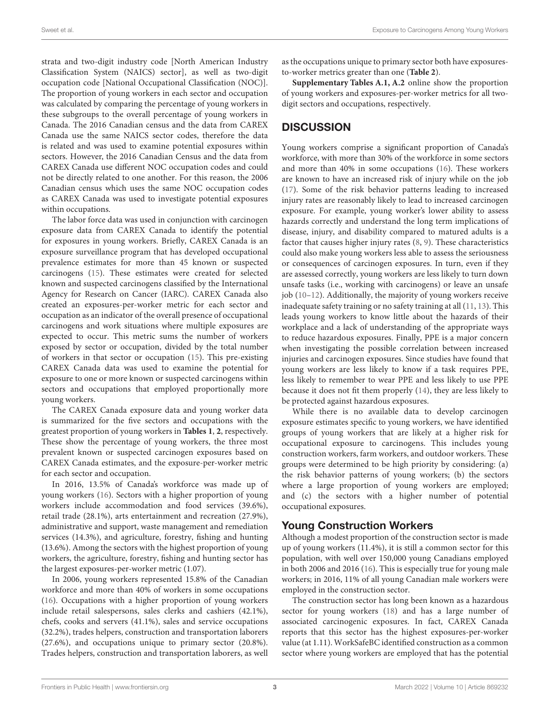strata and two-digit industry code [North American Industry Classification System (NAICS) sector], as well as two-digit occupation code [National Occupational Classification (NOC)]. The proportion of young workers in each sector and occupation was calculated by comparing the percentage of young workers in these subgroups to the overall percentage of young workers in Canada. The 2016 Canadian census and the data from CAREX Canada use the same NAICS sector codes, therefore the data is related and was used to examine potential exposures within sectors. However, the 2016 Canadian Census and the data from CAREX Canada use different NOC occupation codes and could not be directly related to one another. For this reason, the 2006 Canadian census which uses the same NOC occupation codes as CAREX Canada was used to investigate potential exposures within occupations.

The labor force data was used in conjunction with carcinogen exposure data from CAREX Canada to identify the potential for exposures in young workers. Briefly, CAREX Canada is an exposure surveillance program that has developed occupational prevalence estimates for more than 45 known or suspected carcinogens [\(15\)](#page-5-14). These estimates were created for selected known and suspected carcinogens classified by the International Agency for Research on Cancer (IARC). CAREX Canada also created an exposures-per-worker metric for each sector and occupation as an indicator of the overall presence of occupational carcinogens and work situations where multiple exposures are expected to occur. This metric sums the number of workers exposed by sector or occupation, divided by the total number of workers in that sector or occupation [\(15\)](#page-5-14). This pre-existing CAREX Canada data was used to examine the potential for exposure to one or more known or suspected carcinogens within sectors and occupations that employed proportionally more young workers.

The CAREX Canada exposure data and young worker data is summarized for the five sectors and occupations with the greatest proportion of young workers in **[Tables 1](#page-3-0)**, **[2](#page-3-1)**, respectively. These show the percentage of young workers, the three most prevalent known or suspected carcinogen exposures based on CAREX Canada estimates, and the exposure-per-worker metric for each sector and occupation.

In 2016, 13.5% of Canada's workforce was made up of young workers [\(16\)](#page-5-15). Sectors with a higher proportion of young workers include accommodation and food services (39.6%), retail trade (28.1%), arts entertainment and recreation (27.9%), administrative and support, waste management and remediation services (14.3%), and agriculture, forestry, fishing and hunting (13.6%). Among the sectors with the highest proportion of young workers, the agriculture, forestry, fishing and hunting sector has the largest exposures-per-worker metric (1.07).

In 2006, young workers represented 15.8% of the Canadian workforce and more than 40% of workers in some occupations [\(16\)](#page-5-15). Occupations with a higher proportion of young workers include retail salespersons, sales clerks and cashiers (42.1%), chefs, cooks and servers (41.1%), sales and service occupations (32.2%), trades helpers, construction and transportation laborers (27.6%), and occupations unique to primary sector (20.8%). Trades helpers, construction and transportation laborers, as well as the occupations unique to primary sector both have exposuresto-worker metrics greater than one (**[Table 2](#page-3-1)**).

**[Supplementary Tables A.1, A.2](#page-4-0)** online show the proportion of young workers and exposures-per-worker metrics for all twodigit sectors and occupations, respectively.

### **DISCUSSION**

Young workers comprise a significant proportion of Canada's workforce, with more than 30% of the workforce in some sectors and more than 40% in some occupations [\(16\)](#page-5-15). These workers are known to have an increased risk of injury while on the job [\(17\)](#page-5-16). Some of the risk behavior patterns leading to increased injury rates are reasonably likely to lead to increased carcinogen exposure. For example, young worker's lower ability to assess hazards correctly and understand the long term implications of disease, injury, and disability compared to matured adults is a factor that causes higher injury rates [\(8,](#page-5-7) [9\)](#page-5-8). These characteristics could also make young workers less able to assess the seriousness or consequences of carcinogen exposures. In turn, even if they are assessed correctly, young workers are less likely to turn down unsafe tasks (i.e., working with carcinogens) or leave an unsafe job [\(10–](#page-5-9)[12\)](#page-5-11). Additionally, the majority of young workers receive inadequate safety training or no safety training at all [\(11,](#page-5-10) [13\)](#page-5-12). This leads young workers to know little about the hazards of their workplace and a lack of understanding of the appropriate ways to reduce hazardous exposures. Finally, PPE is a major concern when investigating the possible correlation between increased injuries and carcinogen exposures. Since studies have found that young workers are less likely to know if a task requires PPE, less likely to remember to wear PPE and less likely to use PPE because it does not fit them properly [\(14\)](#page-5-13), they are less likely to be protected against hazardous exposures.

While there is no available data to develop carcinogen exposure estimates specific to young workers, we have identified groups of young workers that are likely at a higher risk for occupational exposure to carcinogens. This includes young construction workers, farm workers, and outdoor workers. These groups were determined to be high priority by considering: (a) the risk behavior patterns of young workers; (b) the sectors where a large proportion of young workers are employed; and (c) the sectors with a higher number of potential occupational exposures.

### Young Construction Workers

Although a modest proportion of the construction sector is made up of young workers (11.4%), it is still a common sector for this population, with well over 150,000 young Canadians employed in both 2006 and 2016 [\(16\)](#page-5-15). This is especially true for young male workers; in 2016, 11% of all young Canadian male workers were employed in the construction sector.

The construction sector has long been known as a hazardous sector for young workers [\(18\)](#page-5-17) and has a large number of associated carcinogenic exposures. In fact, CAREX Canada reports that this sector has the highest exposures-per-worker value (at 1.11). WorkSafeBC identified construction as a common sector where young workers are employed that has the potential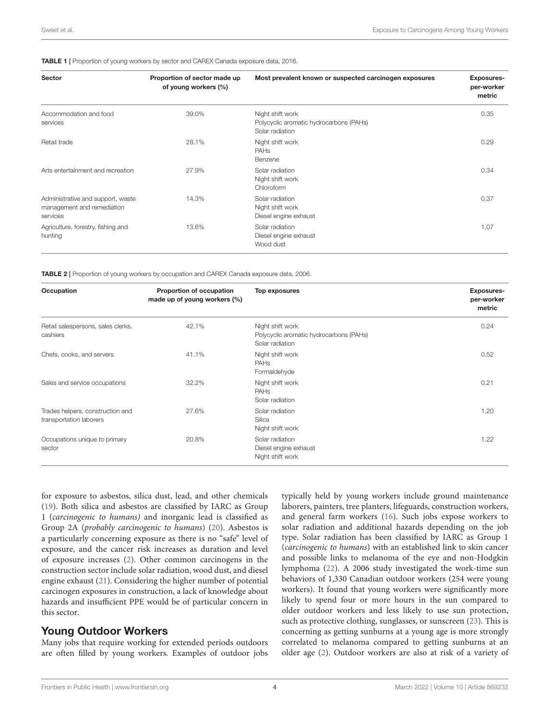### <span id="page-3-0"></span>TABLE 1 | Proportion of young workers by sector and CAREX Canada exposure data, 2016.

| <b>Sector</b>                                                               | Proportion of sector made up<br>of young workers (%) | Most prevalent known or suspected carcinogen exposures                         | <b>Exposures-</b><br>per-worker<br>metric |
|-----------------------------------------------------------------------------|------------------------------------------------------|--------------------------------------------------------------------------------|-------------------------------------------|
| Accommodation and food<br>services                                          | 39.0%                                                | Night shift work<br>Polycyclic aromatic hydrocarbons (PAHs)<br>Solar radiation | 0.35                                      |
| Retail trade                                                                | 28.1%                                                | Night shift work<br><b>PAH<sub>s</sub></b><br>Benzene                          | 0.29                                      |
| Arts entertainment and recreation                                           | 27.9%                                                | Solar radiation<br>Night shift work<br>Chloroform                              | 0.34                                      |
| Administrative and support, waste<br>management and remediation<br>services | 14.3%                                                | Solar radiation<br>Night shift work<br>Diesel engine exhaust                   | 0.37                                      |
| Agriculture, forestry, fishing and<br>hunting                               | 13.6%                                                | Solar radiation<br>Diesel engine exhaust<br>Wood dust                          | 1.07                                      |

<span id="page-3-1"></span>TABLE 2 | Proportion of young workers by occupation and CAREX Canada exposure data, 2006.

| Occupation                                                  | Proportion of occupation<br>made up of young workers (%) | <b>Top exposures</b>                                                           | <b>Exposures-</b><br>per-worker<br>metric |
|-------------------------------------------------------------|----------------------------------------------------------|--------------------------------------------------------------------------------|-------------------------------------------|
| Retail salespersons, sales clerks,<br>cashiers              | 42.1%                                                    | Night shift work<br>Polycyclic aromatic hydrocarbons (PAHs)<br>Solar radiation | 0.24                                      |
| Chefs, cooks, and servers                                   | 41.1%                                                    | Night shift work<br><b>PAH<sub>s</sub></b><br>Formaldehyde                     | 0.52                                      |
| Sales and service occupations                               | 32.2%                                                    | Night shift work<br><b>PAHs</b><br>Solar radiation                             | 0.21                                      |
| Trades helpers, construction and<br>transportation laborers | 27.6%                                                    | Solar radiation<br>Silica<br>Night shift work                                  | 1.20                                      |
| Occupations unique to primary<br>sector                     | 20.8%                                                    | Solar radiation<br>Diesel engine exhaust<br>Night shift work                   | 1.22                                      |

for exposure to asbestos, silica dust, lead, and other chemicals [\(19\)](#page-5-18). Both silica and asbestos are classified by IARC as Group 1 (carcinogenic to humans) and inorganic lead is classified as Group 2A (probably carcinogenic to humans) [\(20\)](#page-5-19). Asbestos is a particularly concerning exposure as there is no "safe" level of exposure, and the cancer risk increases as duration and level of exposure increases [\(2\)](#page-5-1). Other common carcinogens in the construction sector include solar radiation, wood dust, and diesel engine exhaust [\(21\)](#page-5-20). Considering the higher number of potential carcinogen exposures in construction, a lack of knowledge about hazards and insufficient PPE would be of particular concern in this sector.

### Young Outdoor Workers

Many jobs that require working for extended periods outdoors are often filled by young workers. Examples of outdoor jobs typically held by young workers include ground maintenance laborers, painters, tree planters, lifeguards, construction workers, and general farm workers [\(16\)](#page-5-15). Such jobs expose workers to solar radiation and additional hazards depending on the job type. Solar radiation has been classified by IARC as Group 1 (carcinogenic to humans) with an established link to skin cancer and possible links to melanoma of the eye and non-Hodgkin lymphoma [\(22\)](#page-5-21). A 2006 study investigated the work-time sun behaviors of 1,330 Canadian outdoor workers (254 were young workers). It found that young workers were significantly more likely to spend four or more hours in the sun compared to older outdoor workers and less likely to use sun protection, such as protective clothing, sunglasses, or sunscreen [\(23\)](#page-5-22). This is concerning as getting sunburns at a young age is more strongly correlated to melanoma compared to getting sunburns at an older age [\(2\)](#page-5-1). Outdoor workers are also at risk of a variety of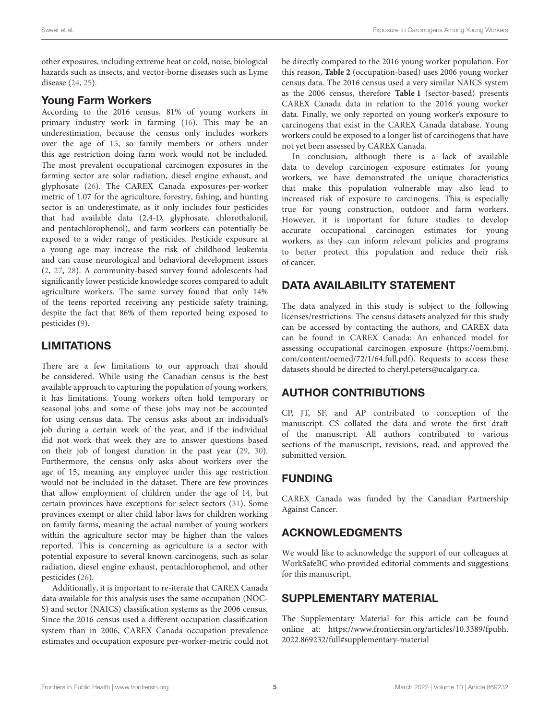other exposures, including extreme heat or cold, noise, biological hazards such as insects, and vector-borne diseases such as Lyme disease [\(24,](#page-5-23) [25\)](#page-5-24).

### Young Farm Workers

According to the 2016 census, 81% of young workers in primary industry work in farming [\(16\)](#page-5-15). This may be an underestimation, because the census only includes workers over the age of 15, so family members or others under this age restriction doing farm work would not be included. The most prevalent occupational carcinogen exposures in the farming sector are solar radiation, diesel engine exhaust, and glyphosate [\(26\)](#page-5-25). The CAREX Canada exposures-per-worker metric of 1.07 for the agriculture, forestry, fishing, and hunting sector is an underestimate, as it only includes four pesticides that had available data (2,4-D, glyphosate, chlorothalonil, and pentachlorophenol), and farm workers can potentially be exposed to a wider range of pesticides. Pesticide exposure at a young age may increase the risk of childhood leukemia and can cause neurological and behavioral development issues [\(2,](#page-5-1) [27,](#page-5-26) [28\)](#page-5-27). A community-based survey found adolescents had significantly lower pesticide knowledge scores compared to adult agriculture workers. The same survey found that only 14% of the teens reported receiving any pesticide safety training, despite the fact that 86% of them reported being exposed to pesticides [\(9\)](#page-5-8).

## LIMITATIONS

There are a few limitations to our approach that should be considered. While using the Canadian census is the best available approach to capturing the population of young workers, it has limitations. Young workers often hold temporary or seasonal jobs and some of these jobs may not be accounted for using census data. The census asks about an individual's job during a certain week of the year, and if the individual did not work that week they are to answer questions based on their job of longest duration in the past year [\(29,](#page-5-28) [30\)](#page-5-29). Furthermore, the census only asks about workers over the age of 15, meaning any employee under this age restriction would not be included in the dataset. There are few provinces that allow employment of children under the age of 14, but certain provinces have exceptions for select sectors [\(31\)](#page-5-30). Some provinces exempt or alter child labor laws for children working on family farms, meaning the actual number of young workers within the agriculture sector may be higher than the values reported. This is concerning as agriculture is a sector with potential exposure to several known carcinogens, such as solar radiation, diesel engine exhaust, pentachlorophenol, and other pesticides [\(26\)](#page-5-25).

Additionally, it is important to re-iterate that CAREX Canada data available for this analysis uses the same occupation (NOC-S) and sector (NAICS) classification systems as the 2006 census. Since the 2016 census used a different occupation classification system than in 2006, CAREX Canada occupation prevalence estimates and occupation exposure per-worker-metric could not be directly compared to the 2016 young worker population. For this reason, **[Table 2](#page-3-1)** (occupation-based) uses 2006 young worker census data. The 2016 census used a very similar NAICS system as the 2006 census, therefore **[Table 1](#page-3-0)** (sector-based) presents CAREX Canada data in relation to the 2016 young worker data. Finally, we only reported on young worker's exposure to carcinogens that exist in the CAREX Canada database. Young workers could be exposed to a longer list of carcinogens that have not yet been assessed by CAREX Canada.

In conclusion, although there is a lack of available data to develop carcinogen exposure estimates for young workers, we have demonstrated the unique characteristics that make this population vulnerable may also lead to increased risk of exposure to carcinogens. This is especially true for young construction, outdoor and farm workers. However, it is important for future studies to develop accurate occupational carcinogen estimates for young workers, as they can inform relevant policies and programs to better protect this population and reduce their risk of cancer.

## DATA AVAILABILITY STATEMENT

The data analyzed in this study is subject to the following licenses/restrictions: The census datasets analyzed for this study can be accessed by contacting the authors, and CAREX data can be found in CAREX Canada: An enhanced model for assessing occupational carcinogen exposure [\(https://oem.bmj.](https://oem.bmj.com/content/oemed/72/1/64.full.pdf) [com/content/oemed/72/1/64.full.pdf\)](https://oem.bmj.com/content/oemed/72/1/64.full.pdf). Requests to access these datasets should be directed to cheryl.peters@ucalgary.ca.

# AUTHOR CONTRIBUTIONS

CP, JT, SF, and AP contributed to conception of the manuscript. CS collated the data and wrote the first draft of the manuscript. All authors contributed to various sections of the manuscript, revisions, read, and approved the submitted version.

### FUNDING

CAREX Canada was funded by the Canadian Partnership Against Cancer.

### ACKNOWLEDGMENTS

We would like to acknowledge the support of our colleagues at WorkSafeBC who provided editorial comments and suggestions for this manuscript.

### SUPPLEMENTARY MATERIAL

<span id="page-4-0"></span>The Supplementary Material for this article can be found [online at: https://www.frontiersin.org/articles/10.3389/fpubh.](https://www.frontiersin.org/articles/10.3389/fpubh.2022.869232/full#supplementary-material) 2022.869232/full#supplementary-material